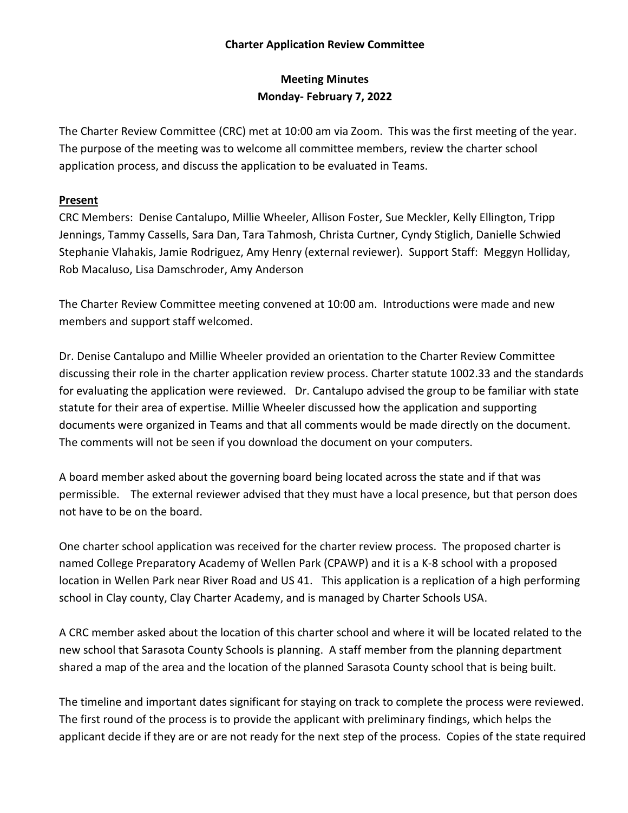## **Charter Application Review Committee**

## **Meeting Minutes Monday- February 7, 2022**

The Charter Review Committee (CRC) met at 10:00 am via Zoom. This was the first meeting of the year. The purpose of the meeting was to welcome all committee members, review the charter school application process, and discuss the application to be evaluated in Teams.

## **Present**

CRC Members: Denise Cantalupo, Millie Wheeler, Allison Foster, Sue Meckler, Kelly Ellington, Tripp Jennings, Tammy Cassells, Sara Dan, Tara Tahmosh, Christa Curtner, Cyndy Stiglich, Danielle Schwied Stephanie Vlahakis, Jamie Rodriguez, Amy Henry (external reviewer). Support Staff: Meggyn Holliday, Rob Macaluso, Lisa Damschroder, Amy Anderson

The Charter Review Committee meeting convened at 10:00 am. Introductions were made and new members and support staff welcomed.

Dr. Denise Cantalupo and Millie Wheeler provided an orientation to the Charter Review Committee discussing their role in the charter application review process. Charter statute 1002.33 and the standards for evaluating the application were reviewed. Dr. Cantalupo advised the group to be familiar with state statute for their area of expertise. Millie Wheeler discussed how the application and supporting documents were organized in Teams and that all comments would be made directly on the document. The comments will not be seen if you download the document on your computers.

A board member asked about the governing board being located across the state and if that was permissible. The external reviewer advised that they must have a local presence, but that person does not have to be on the board.

One charter school application was received for the charter review process. The proposed charter is named College Preparatory Academy of Wellen Park (CPAWP) and it is a K-8 school with a proposed location in Wellen Park near River Road and US 41. This application is a replication of a high performing school in Clay county, Clay Charter Academy, and is managed by Charter Schools USA.

A CRC member asked about the location of this charter school and where it will be located related to the new school that Sarasota County Schools is planning. A staff member from the planning department shared a map of the area and the location of the planned Sarasota County school that is being built.

The timeline and important dates significant for staying on track to complete the process were reviewed. The first round of the process is to provide the applicant with preliminary findings, which helps the applicant decide if they are or are not ready for the next step of the process. Copies of the state required